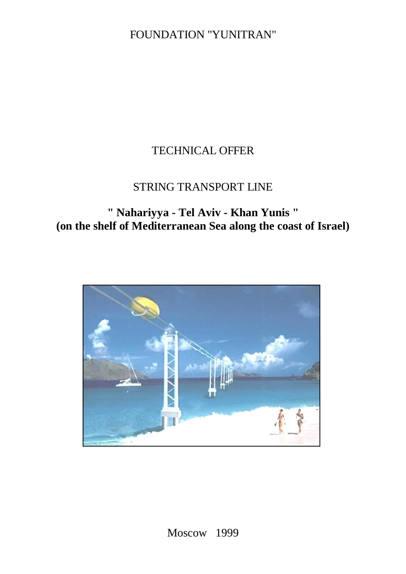FOUNDATION "YUNITRAN"

# TECHNICAL OFFER

# STRING TRANSPORT LINE

**" Nahariyya - Tel Aviv - Khan Yunis " (on the shelf of Mediterranean Sea along the coast of Israel)**

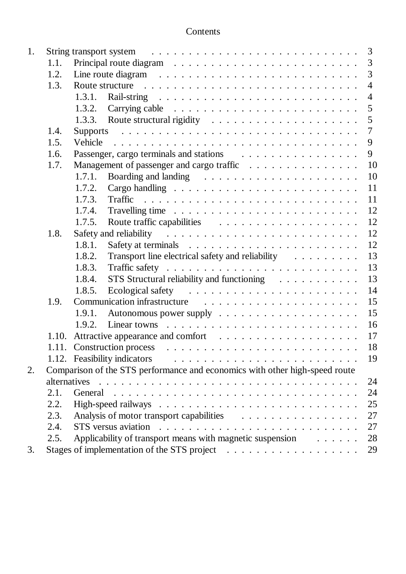| Contents |
|----------|
|----------|

| 1. |              | 3                                                                                                                                                                                                                                                |  |  |  |  |  |  |  |
|----|--------------|--------------------------------------------------------------------------------------------------------------------------------------------------------------------------------------------------------------------------------------------------|--|--|--|--|--|--|--|
|    | 1.1.         | 3<br>Principal route diagram $\ldots \ldots \ldots \ldots \ldots \ldots \ldots \ldots$                                                                                                                                                           |  |  |  |  |  |  |  |
|    | 1.2.         | $\overline{3}$<br>Line route diagram $\ldots \ldots \ldots \ldots \ldots \ldots \ldots \ldots$                                                                                                                                                   |  |  |  |  |  |  |  |
|    | 1.3.         | $\overline{4}$<br>Route structure response to the contract of the structure of the structure of the structure of the structure of the structure of the structure of the structure of the structure of the structure of the structure of the stru |  |  |  |  |  |  |  |
|    |              | 1.3.1.<br>$\overline{4}$                                                                                                                                                                                                                         |  |  |  |  |  |  |  |
|    |              | 5<br>1.3.2. Carrying cable $\ldots \ldots \ldots \ldots \ldots \ldots \ldots \ldots$                                                                                                                                                             |  |  |  |  |  |  |  |
|    |              | 5                                                                                                                                                                                                                                                |  |  |  |  |  |  |  |
|    | 1.4.         | $\overline{7}$                                                                                                                                                                                                                                   |  |  |  |  |  |  |  |
|    | 1.5.         | 9<br>Vehicle                                                                                                                                                                                                                                     |  |  |  |  |  |  |  |
|    | 1.6.         | 9                                                                                                                                                                                                                                                |  |  |  |  |  |  |  |
|    | 1.7.         | 10<br>Management of passenger and cargo traffic                                                                                                                                                                                                  |  |  |  |  |  |  |  |
|    |              | 10<br>1.7.1.                                                                                                                                                                                                                                     |  |  |  |  |  |  |  |
|    |              | 1.7.2.<br>11                                                                                                                                                                                                                                     |  |  |  |  |  |  |  |
|    |              | 11<br>1.7.3.                                                                                                                                                                                                                                     |  |  |  |  |  |  |  |
|    |              | 12<br>1.7.4.                                                                                                                                                                                                                                     |  |  |  |  |  |  |  |
|    |              | 12<br>1.7.5.                                                                                                                                                                                                                                     |  |  |  |  |  |  |  |
|    | 1.8.         | 12                                                                                                                                                                                                                                               |  |  |  |  |  |  |  |
|    |              | 12<br>1.8.1.                                                                                                                                                                                                                                     |  |  |  |  |  |  |  |
|    |              | 13<br>Transport line electrical safety and reliability<br>1.8.2.                                                                                                                                                                                 |  |  |  |  |  |  |  |
|    |              | 13<br>1.8.3.                                                                                                                                                                                                                                     |  |  |  |  |  |  |  |
|    |              | 13<br>1.8.4.<br>STS Structural reliability and functioning                                                                                                                                                                                       |  |  |  |  |  |  |  |
|    |              | 14<br>1.8.5.                                                                                                                                                                                                                                     |  |  |  |  |  |  |  |
|    | 1.9.         |                                                                                                                                                                                                                                                  |  |  |  |  |  |  |  |
|    |              | 15                                                                                                                                                                                                                                               |  |  |  |  |  |  |  |
|    |              | 16                                                                                                                                                                                                                                               |  |  |  |  |  |  |  |
|    |              | 17                                                                                                                                                                                                                                               |  |  |  |  |  |  |  |
|    |              | 18                                                                                                                                                                                                                                               |  |  |  |  |  |  |  |
|    |              | 19<br>1.12. Feasibility indicators extension of the set of the set of the set of the set of the set of the set of the set of the set of the set of the set of the set of the set of the set of the set of the set of the set of the              |  |  |  |  |  |  |  |
| 2. |              | Comparison of the STS performance and economics with other high-speed route                                                                                                                                                                      |  |  |  |  |  |  |  |
|    | alternatives | 24                                                                                                                                                                                                                                               |  |  |  |  |  |  |  |
|    | 2.1.         | 24                                                                                                                                                                                                                                               |  |  |  |  |  |  |  |
|    | 2.2.         | 25                                                                                                                                                                                                                                               |  |  |  |  |  |  |  |
|    | 2.3.         | 27                                                                                                                                                                                                                                               |  |  |  |  |  |  |  |
|    | 2.4.         | 27                                                                                                                                                                                                                                               |  |  |  |  |  |  |  |
|    | 2.5.         | Applicability of transport means with magnetic suspension<br>28                                                                                                                                                                                  |  |  |  |  |  |  |  |
| 3. |              | 29                                                                                                                                                                                                                                               |  |  |  |  |  |  |  |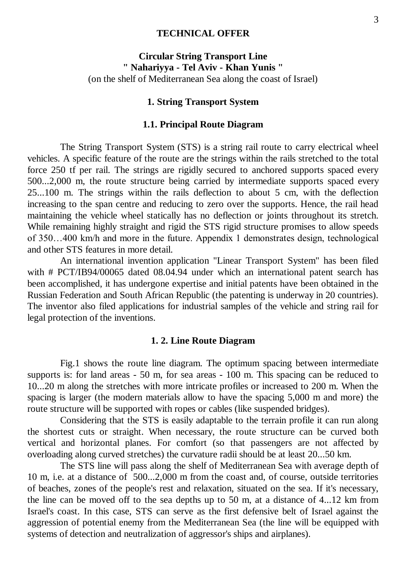### **TECHNICAL OFFER**

### **Circular String Transport Line " Nahariyya - Tel Aviv - Khan Yunis "** (on the shelf of Mediterranean Sea along the coast of Israel)

#### **1. String Transport System**

#### **1.1. Principal Route Diagram**

The String Transport System (STS) is a string rail route to carry electrical wheel vehicles. A specific feature of the route are the strings within the rails stretched to the total force 250 tf per rail. The strings are rigidly secured to anchored supports spaced every 500...2,000 m, the route structure being carried by intermediate supports spaced every 25...100 m. The strings within the rails deflection to about 5 cm, with the deflection increasing to the span centre and reducing to zero over the supports. Hence, the rail head maintaining the vehicle wheel statically has no deflection or joints throughout its stretch. While remaining highly straight and rigid the STS rigid structure promises to allow speeds of 350…400 km/h and more in the future. Appendix 1 demonstrates design, technological and other STS features in more detail.

An international invention application "Linear Transport System" has been filed with # PCT/IB94/00065 dated 08.04.94 under which an international patent search has been accomplished, it has undergone expertise and initial patents have been obtained in the Russian Federation and South African Republic (the patenting is underway in 20 countries). The inventor also filed applications for industrial samples of the vehicle and string rail for legal protection of the inventions.

#### **1. 2. Line Route Diagram**

Fig.1 shows the route line diagram. The optimum spacing between intermediate supports is: for land areas - 50 m, for sea areas - 100 m. This spacing can be reduced to 10...20 m along the stretches with more intricate profiles or increased to 200 m. When the spacing is larger (the modern materials allow to have the spacing 5,000 m and more) the route structure will be supported with ropes or cables (like suspended bridges).

Considering that the STS is easily adaptable to the terrain profile it can run along the shortest cuts or straight. When necessary, the route structure can be curved both vertical and horizontal planes. For comfort (so that passengers are not affected by overloading along curved stretches) the curvature radii should be at least 20...50 km.

The STS line will pass along the shelf of Mediterranean Sea with average depth of 10 m, i.e. at a distance of 500...2,000 m from the coast and, of course, outside territories of beaches, zones of the people's rest and relaxation, situated on the sea. If it's necessary, the line can be moved off to the sea depths up to 50 m, at a distance of 4...12 km from Israel's coast. In this case, STS can serve as the first defensive belt of Israel against the aggression of potential enemy from the Mediterranean Sea (the line will be equipped with systems of detection and neutralization of aggressor's ships and airplanes).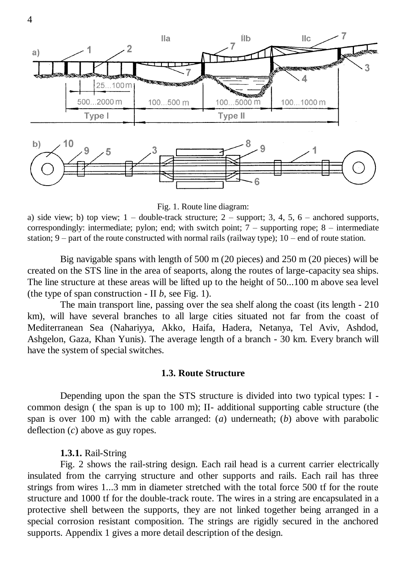

Fig. 1. Route line diagram:

a) side view; b) top view;  $1 -$  double-track structure;  $2 -$  support; 3, 4, 5, 6 – anchored supports, correspondingly: intermediate; pylon; end; with switch point;  $7 -$  supporting rope;  $8 -$  intermediate station;  $9$  – part of the route constructed with normal rails (railway type);  $10$  – end of route station.

Big navigable spans with length of 500 m (20 pieces) and 250 m (20 pieces) will be created on the STS line in the area of seaports, along the routes of large-capacity sea ships. The line structure at these areas will be lifted up to the height of 50...100 m above sea level (the type of span construction - II  $b$ , see Fig. 1).

The main transport line, passing over the sea shelf along the coast (its length - 210 km), will have several branches to all large cities situated not far from the coast of Mediterranean Sea (Nahariyya, Akko, Haifa, Hadera, Netanya, Tel Aviv, Ashdod, Ashgelon, Gaza, Khan Yunis). The average length of a branch - 30 km. Every branch will have the system of special switches.

#### **1.3. Route Structure**

Depending upon the span the STS structure is divided into two typical types: I common design ( the span is up to 100 m); II- additional supporting cable structure (the span is over 100 m) with the cable arranged: (*a*) underneath; (*b*) above with parabolic deflection (*c*) above as guy ropes.

### **1.3.1.** Rail-String

Fig. 2 shows the rail-string design. Each rail head is a current carrier electrically insulated from the carrying structure and other supports and rails. Each rail has three strings from wires 1...3 mm in diameter stretched with the total force 500 tf for the route structure and 1000 tf for the double-track route. The wires in a string are encapsulated in a protective shell between the supports, they are not linked together being arranged in a special corrosion resistant composition. The strings are rigidly secured in the anchored supports. Appendix 1 gives a more detail description of the design.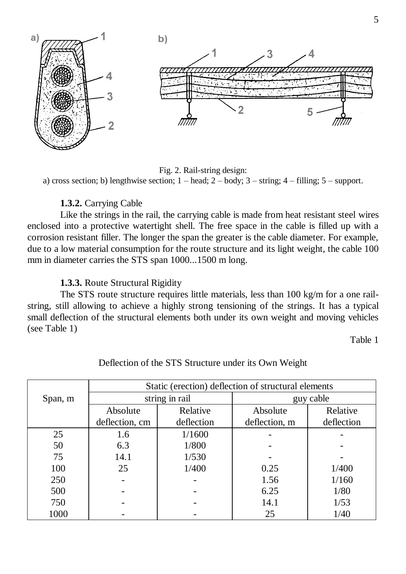

Fig. 2. Rail-string design: a) cross section; b) lengthwise section;  $1 -$  head;  $2 -$  body;  $3 -$  string;  $4 -$  filling;  $5 -$  support.

### **1.3.2.** Carrying Cable

Like the strings in the rail, the carrying cable is made from heat resistant steel wires enclosed into a protective watertight shell. The free space in the cable is filled up with a corrosion resistant filler. The longer the span the greater is the cable diameter. For example, due to a low material consumption for the route structure and its light weight, the cable 100 mm in diameter carries the STS span 1000...1500 m long.

### **1.3.3.** Route Structural Rigidity

The STS route structure requires little materials, less than 100 kg/m for a one railstring, still allowing to achieve a highly strong tensioning of the strings. It has a typical small deflection of the structural elements both under its own weight and moving vehicles (see Table 1)

Table 1

|            | Static (erection) deflection of structural elements |            |               |            |  |
|------------|-----------------------------------------------------|------------|---------------|------------|--|
| Span, m    | string in rail                                      |            | guy cable     |            |  |
|            | Absolute                                            | Relative   | Absolute      | Relative   |  |
|            | deflection, cm                                      | deflection | deflection, m | deflection |  |
| 25         | 1.6                                                 | 1/1600     |               |            |  |
| 50         | 6.3                                                 | 1/800      |               |            |  |
| 75<br>14.1 |                                                     | 1/530      |               |            |  |
| 100        | 1/400<br>25                                         |            | 0.25          | 1/400      |  |
| 250        |                                                     |            | 1.56          | 1/160      |  |
| 500        |                                                     |            | 6.25          | 1/80       |  |
| 750        |                                                     |            | 14.1          | 1/53       |  |
| 1000       |                                                     |            | 25            | 1/40       |  |

Deflection of the STS Structure under its Own Weight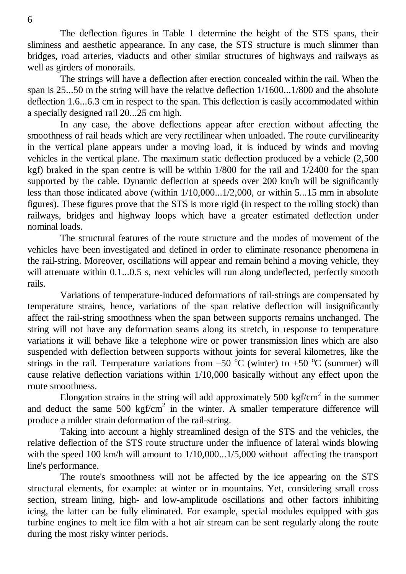The deflection figures in Table 1 determine the height of the STS spans, their sliminess and aesthetic appearance. In any case, the STS structure is much slimmer than bridges, road arteries, viaducts and other similar structures of highways and railways as well as girders of monorails.

The strings will have a deflection after erection concealed within the rail. When the span is 25...50 m the string will have the relative deflection 1/1600...1/800 and the absolute deflection 1.6...6.3 cm in respect to the span. This deflection is easily accommodated within a specially designed rail 20...25 cm high.

In any case, the above deflections appear after erection without affecting the smoothness of rail heads which are very rectilinear when unloaded. The route curvilinearity in the vertical plane appears under a moving load, it is induced by winds and moving vehicles in the vertical plane. The maximum static deflection produced by a vehicle (2,500 kgf) braked in the span centre is will be within 1/800 for the rail and 1/2400 for the span supported by the cable. Dynamic deflection at speeds over 200 km/h will be significantly less than those indicated above (within 1/10,000...1/2,000, or within 5...15 mm in absolute figures). These figures prove that the STS is more rigid (in respect to the rolling stock) than railways, bridges and highway loops which have a greater estimated deflection under nominal loads.

The structural features of the route structure and the modes of movement of the vehicles have been investigated and defined in order to eliminate resonance phenomena in the rail-string. Moreover, oscillations will appear and remain behind a moving vehicle, they will attenuate within 0.1...0.5 s, next vehicles will run along undeflected, perfectly smooth rails.

Variations of temperature-induced deformations of rail-strings are compensated by temperature strains, hence, variations of the span relative deflection will insignificantly affect the rail-string smoothness when the span between supports remains unchanged. The string will not have any deformation seams along its stretch, in response to temperature variations it will behave like a telephone wire or power transmission lines which are also suspended with deflection between supports without joints for several kilometres, like the strings in the rail. Temperature variations from –50  $^{\circ}$ C (winter) to +50  $^{\circ}$ C (summer) will cause relative deflection variations within 1/10,000 basically without any effect upon the route smoothness.

Elongation strains in the string will add approximately 500 kgf/cm<sup>2</sup> in the summer and deduct the same  $500 \text{ kgf/cm}^2$  in the winter. A smaller temperature difference will produce a milder strain deformation of the rail-string.

Taking into account a highly streamlined design of the STS and the vehicles, the relative deflection of the STS route structure under the influence of lateral winds blowing with the speed 100 km/h will amount to  $1/10,000...1/5,000$  without affecting the transport line's performance.

The route's smoothness will not be affected by the ice appearing on the STS structural elements, for example: at winter or in mountains. Yet, considering small cross section, stream lining, high- and low-amplitude oscillations and other factors inhibiting icing, the latter can be fully eliminated. For example, special modules equipped with gas turbine engines to melt ice film with a hot air stream can be sent regularly along the route during the most risky winter periods.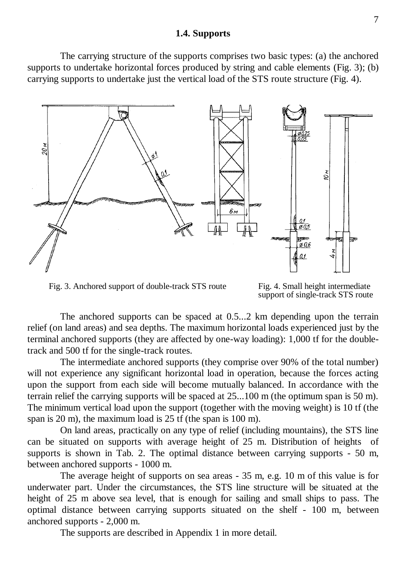#### **1.4. Supports**

The carrying structure of the supports comprises two basic types: (a) the anchored supports to undertake horizontal forces produced by string and cable elements (Fig. 3); (b) carrying supports to undertake just the vertical load of the STS route structure (Fig. 4).



Fig. 3. Anchored support of double-track STS route Fig. 4. Small height intermediate

support of single-track STS route

The anchored supports can be spaced at 0.5...2 km depending upon the terrain relief (on land areas) and sea depths. The maximum horizontal loads experienced just by the terminal anchored supports (they are affected by one-way loading): 1,000 tf for the doubletrack and 500 tf for the single-track routes.

The intermediate anchored supports (they comprise over 90% of the total number) will not experience any significant horizontal load in operation, because the forces acting upon the support from each side will become mutually balanced. In accordance with the terrain relief the carrying supports will be spaced at 25...100 m (the optimum span is 50 m). The minimum vertical load upon the support (together with the moving weight) is 10 tf (the span is 20 m), the maximum load is 25 tf (the span is 100 m).

On land areas, practically on any type of relief (including mountains), the STS line can be situated on supports with average height of 25 m. Distribution of heights of supports is shown in Tab. 2. The optimal distance between carrying supports - 50 m, between anchored supports - 1000 m.

The average height of supports on sea areas - 35 m, e.g. 10 m of this value is for underwater part. Under the circumstances, the STS line structure will be situated at the height of 25 m above sea level, that is enough for sailing and small ships to pass. The optimal distance between carrying supports situated on the shelf - 100 m, between anchored supports - 2,000 m.

The supports are described in Appendix 1 in more detail.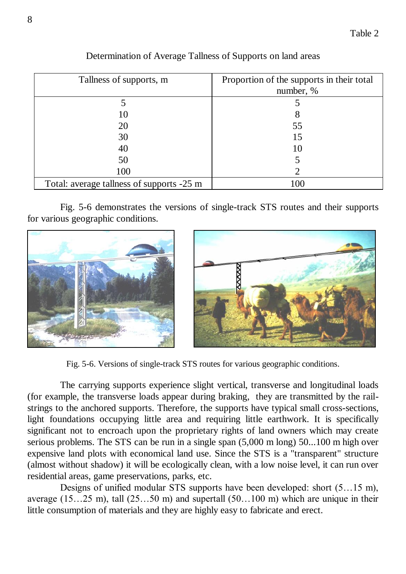| Tallness of supports, m                   | Proportion of the supports in their total<br>number, % |  |  |
|-------------------------------------------|--------------------------------------------------------|--|--|
|                                           |                                                        |  |  |
| 10                                        | 8                                                      |  |  |
| 20                                        | 55                                                     |  |  |
| 30                                        | 15                                                     |  |  |
| 40                                        | 10                                                     |  |  |
| 50                                        |                                                        |  |  |
| 100                                       |                                                        |  |  |
| Total: average tallness of supports -25 m | 100                                                    |  |  |

Determination of Average Tallness of Supports on land areas

Fig. 5-6 demonstrates the versions of single-track STS routes and their supports for various geographic conditions.





Fig. 5-6. Versions of single-track STS routes for various geographic conditions.

The carrying supports experience slight vertical, transverse and longitudinal loads (for example, the transverse loads appear during braking, they are transmitted by the railstrings to the anchored supports. Therefore, the supports have typical small cross-sections, light foundations occupying little area and requiring little earthwork. It is specifically significant not to encroach upon the proprietary rights of land owners which may create serious problems. The STS can be run in a single span (5,000 m long) 50...100 m high over expensive land plots with economical land use. Since the STS is a "transparent" structure (almost without shadow) it will be ecologically clean, with a low noise level, it can run over residential areas, game preservations, parks, etc.

Designs of unified modular STS supports have been developed: short (5…15 m), average  $(15...25 \text{ m})$ , tall  $(25...50 \text{ m})$  and supertall  $(50...100 \text{ m})$  which are unique in their little consumption of materials and they are highly easy to fabricate and erect.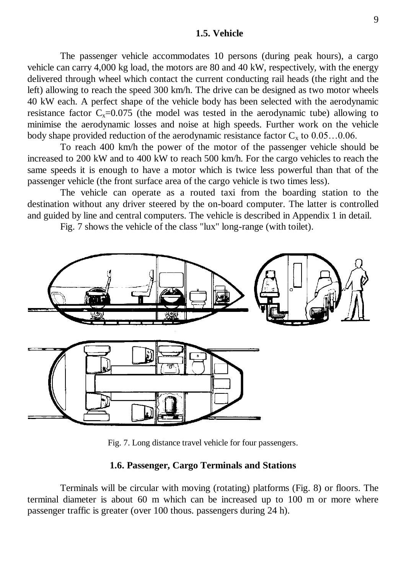#### **1.5. Vehicle**

The passenger vehicle accommodates 10 persons (during peak hours), a cargo vehicle can carry 4,000 kg load, the motors are 80 and 40 kW, respectively, with the energy delivered through wheel which contact the current conducting rail heads (the right and the left) allowing to reach the speed 300 km/h. The drive can be designed as two motor wheels 40 kW each. A perfect shape of the vehicle body has been selected with the aerodynamic resistance factor  $C_x=0.075$  (the model was tested in the aerodynamic tube) allowing to minimise the aerodynamic losses and noise at high speeds. Further work on the vehicle body shape provided reduction of the aerodynamic resistance factor  $C_x$  to  $0.05...0.06$ .

To reach 400 km/h the power of the motor of the passenger vehicle should be increased to 200 kW and to 400 kW to reach 500 km/h. For the cargo vehicles to reach the same speeds it is enough to have a motor which is twice less powerful than that of the passenger vehicle (the front surface area of the cargo vehicle is two times less).

The vehicle can operate as a routed taxi from the boarding station to the destination without any driver steered by the on-board computer. The latter is controlled and guided by line and central computers. The vehicle is described in Appendix 1 in detail.

Fig. 7 shows the vehicle of the class "lux" long-range (with toilet).



Fig. 7. Long distance travel vehicle for four passengers.

### **1.6. Passenger, Cargo Terminals and Stations**

Terminals will be circular with moving (rotating) platforms (Fig. 8) or floors. The terminal diameter is about 60 m which can be increased up to 100 m or more where passenger traffic is greater (over 100 thous. passengers during 24 h).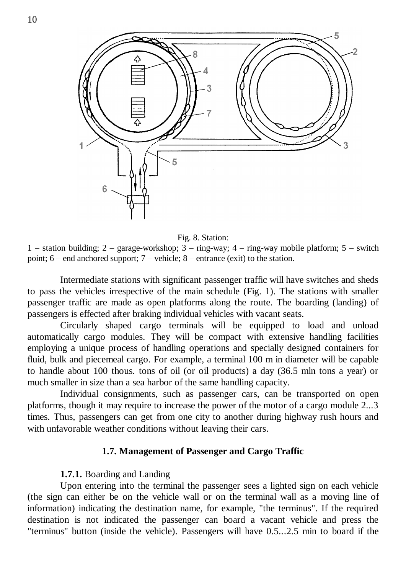



Fig. 8. Station:

1 – station building; 2 – garage-workshop; 3 – ring-way; 4 – ring-way mobile platform; 5 – switch point; 6 – end anchored support; 7 – vehicle; 8 – entrance (exit) to the station.

Intermediate stations with significant passenger traffic will have switches and sheds to pass the vehicles irrespective of the main schedule (Fig. 1). The stations with smaller passenger traffic are made as open platforms along the route. The boarding (landing) of passengers is effected after braking individual vehicles with vacant seats.

Circularly shaped cargo terminals will be equipped to load and unload automatically cargo modules. They will be compact with extensive handling facilities employing a unique process of handling operations and specially designed containers for fluid, bulk and piecemeal cargo. For example, a terminal 100 m in diameter will be capable to handle about 100 thous. tons of oil (or oil products) a day (36.5 mln tons a year) or much smaller in size than a sea harbor of the same handling capacity.

Individual consignments, such as passenger cars, can be transported on open platforms, though it may require to increase the power of the motor of a cargo module 2...3 times. Thus, passengers can get from one city to another during highway rush hours and with unfavorable weather conditions without leaving their cars.

### **1.7. Management of Passenger and Cargo Traffic**

#### **1.7.1.** Boarding and Landing

Upon entering into the terminal the passenger sees a lighted sign on each vehicle (the sign can either be on the vehicle wall or on the terminal wall as a moving line of information) indicating the destination name, for example, "the terminus". If the required destination is not indicated the passenger can board a vacant vehicle and press the "terminus" button (inside the vehicle). Passengers will have 0.5...2.5 min to board if the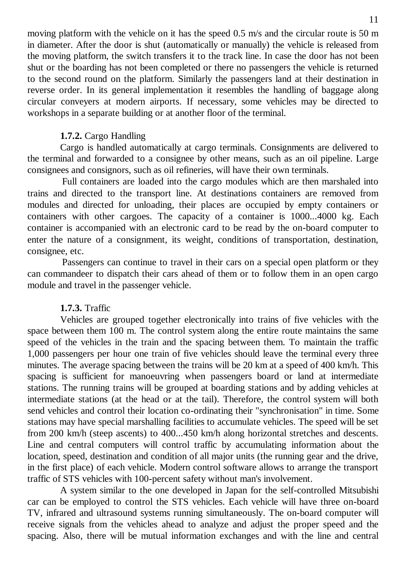moving platform with the vehicle on it has the speed 0.5 m/s and the circular route is 50 m in diameter. After the door is shut (automatically or manually) the vehicle is released from the moving platform, the switch transfers it to the track line. In case the door has not been shut or the boarding has not been completed or there no passengers the vehicle is returned to the second round on the platform. Similarly the passengers land at their destination in reverse order. In its general implementation it resembles the handling of baggage along circular conveyers at modern airports. If necessary, some vehicles may be directed to workshops in a separate building or at another floor of the terminal.

### **1.7.2.** Cargo Handling

Cargo is handled automatically at cargo terminals. Consignments are delivered to the terminal and forwarded to a consignee by other means, such as an oil pipeline. Large consignees and consignors, such as oil refineries, will have their own terminals.

Full containers are loaded into the cargo modules which are then marshaled into trains and directed to the transport line. At destinations containers are removed from modules and directed for unloading, their places are occupied by empty containers or containers with other cargoes. The capacity of a container is 1000...4000 kg. Each container is accompanied with an electronic card to be read by the on-board computer to enter the nature of a consignment, its weight, conditions of transportation, destination, consignee, etc.

Passengers can continue to travel in their cars on a special open platform or they can commandeer to dispatch their cars ahead of them or to follow them in an open cargo module and travel in the passenger vehicle.

### **1.7.3.** Traffic

Vehicles are grouped together electronically into trains of five vehicles with the space between them 100 m. The control system along the entire route maintains the same speed of the vehicles in the train and the spacing between them. To maintain the traffic 1,000 passengers per hour one train of five vehicles should leave the terminal every three minutes. The average spacing between the trains will be 20 km at a speed of 400 km/h. This spacing is sufficient for manoeuvring when passengers board or land at intermediate stations. The running trains will be grouped at boarding stations and by adding vehicles at intermediate stations (at the head or at the tail). Therefore, the control system will both send vehicles and control their location co-ordinating their "synchronisation" in time. Some stations may have special marshalling facilities to accumulate vehicles. The speed will be set from 200 km/h (steep ascents) to 400...450 km/h along horizontal stretches and descents. Line and central computers will control traffic by accumulating information about the location, speed, destination and condition of all major units (the running gear and the drive, in the first place) of each vehicle. Modern control software allows to arrange the transport traffic of STS vehicles with 100-percent safety without man's involvement.

A system similar to the one developed in Japan for the self-controlled Mitsubishi car can be employed to control the STS vehicles. Each vehicle will have three on-board TV, infrared and ultrasound systems running simultaneously. The on-board computer will receive signals from the vehicles ahead to analyze and adjust the proper speed and the spacing. Also, there will be mutual information exchanges and with the line and central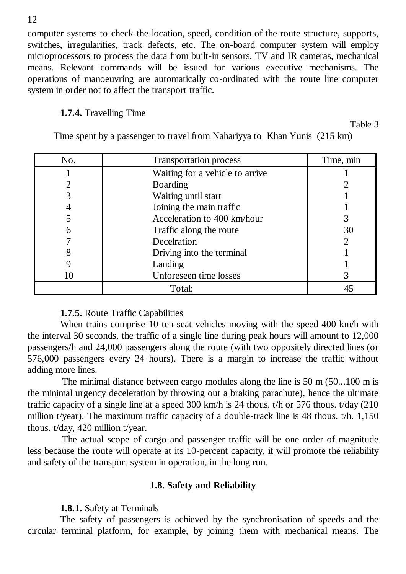computer systems to check the location, speed, condition of the route structure, supports, switches, irregularities, track defects, etc. The on-board computer system will employ microprocessors to process the data from built-in sensors, TV and IR cameras, mechanical means. Relevant commands will be issued for various executive mechanisms. The operations of manoeuvring are automatically co-ordinated with the route line computer system in order not to affect the transport traffic.

### **1.7.4.** Travelling Time

Table 3

| No. | <b>Transportation process</b>   | Time, min |
|-----|---------------------------------|-----------|
|     | Waiting for a vehicle to arrive |           |
|     | Boarding                        |           |
|     | Waiting until start             |           |
|     | Joining the main traffic        |           |
|     | Acceleration to 400 km/hour     |           |
|     | Traffic along the route         | 30        |
|     | Decelration                     | 2         |
|     | Driving into the terminal       |           |
|     | Landing                         |           |
|     | Unforeseen time losses          |           |
|     | Total:                          | 45        |

Time spent by a passenger to travel from Nahariyya to Khan Yunis (215 km)

### **1.7.5.** Route Traffic Capabilities

When trains comprise 10 ten-seat vehicles moving with the speed 400 km/h with the interval 30 seconds, the traffic of a single line during peak hours will amount to 12,000 passengers/h and 24,000 passengers along the route (with two oppositely directed lines (or 576,000 passengers every 24 hours). There is a margin to increase the traffic without adding more lines.

The minimal distance between cargo modules along the line is 50 m (50...100 m is the minimal urgency deceleration by throwing out a braking parachute), hence the ultimate traffic capacity of a single line at a speed 300 km/h is 24 thous. t/h or 576 thous. t/day (210 million t/year). The maximum traffic capacity of a double-track line is 48 thous. t/h. 1,150 thous. t/day, 420 million t/year.

The actual scope of cargo and passenger traffic will be one order of magnitude less because the route will operate at its 10-percent capacity, it will promote the reliability and safety of the transport system in operation, in the long run.

### **1.8. Safety and Reliability**

**1.8.1.** Safety at Terminals

The safety of passengers is achieved by the synchronisation of speeds and the circular terminal platform, for example, by joining them with mechanical means. The

12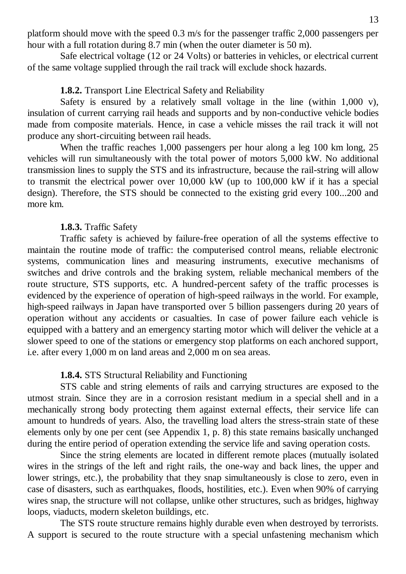platform should move with the speed 0.3 m/s for the passenger traffic 2,000 passengers per hour with a full rotation during 8.7 min (when the outer diameter is 50 m).

Safe electrical voltage (12 or 24 Volts) or batteries in vehicles, or electrical current of the same voltage supplied through the rail track will exclude shock hazards.

### **1.8.2.** Transport Line Electrical Safety and Reliability

Safety is ensured by a relatively small voltage in the line (within 1,000 v), insulation of current carrying rail heads and supports and by non-conductive vehicle bodies made from composite materials. Hence, in case a vehicle misses the rail track it will not produce any short-circuiting between rail heads.

When the traffic reaches 1,000 passengers per hour along a leg 100 km long, 25 vehicles will run simultaneously with the total power of motors 5,000 kW. No additional transmission lines to supply the STS and its infrastructure, because the rail-string will allow to transmit the electrical power over 10,000 kW (up to 100,000 kW if it has a special design). Therefore, the STS should be connected to the existing grid every 100...200 and more km.

### **1.8.3.** Traffic Safety

Traffic safety is achieved by failure-free operation of all the systems effective to maintain the routine mode of traffic: the computerised control means, reliable electronic systems, communication lines and measuring instruments, executive mechanisms of switches and drive controls and the braking system, reliable mechanical members of the route structure, STS supports, etc. A hundred-percent safety of the traffic processes is evidenced by the experience of operation of high-speed railways in the world. For example, high-speed railways in Japan have transported over 5 billion passengers during 20 years of operation without any accidents or casualties. In case of power failure each vehicle is equipped with a battery and an emergency starting motor which will deliver the vehicle at a slower speed to one of the stations or emergency stop platforms on each anchored support, i.e. after every 1,000 m on land areas and 2,000 m on sea areas.

### **1.8.4.** STS Structural Reliability and Functioning

STS cable and string elements of rails and carrying structures are exposed to the utmost strain. Since they are in a corrosion resistant medium in a special shell and in a mechanically strong body protecting them against external effects, their service life can amount to hundreds of years. Also, the travelling load alters the stress-strain state of these elements only by one per cent (see Appendix 1, p. 8) this state remains basically unchanged during the entire period of operation extending the service life and saving operation costs.

Since the string elements are located in different remote places (mutually isolated wires in the strings of the left and right rails, the one-way and back lines, the upper and lower strings, etc.), the probability that they snap simultaneously is close to zero, even in case of disasters, such as earthquakes, floods, hostilities, etc.). Even when 90% of carrying wires snap, the structure will not collapse, unlike other structures, such as bridges, highway loops, viaducts, modern skeleton buildings, etc.

The STS route structure remains highly durable even when destroyed by terrorists. A support is secured to the route structure with a special unfastening mechanism which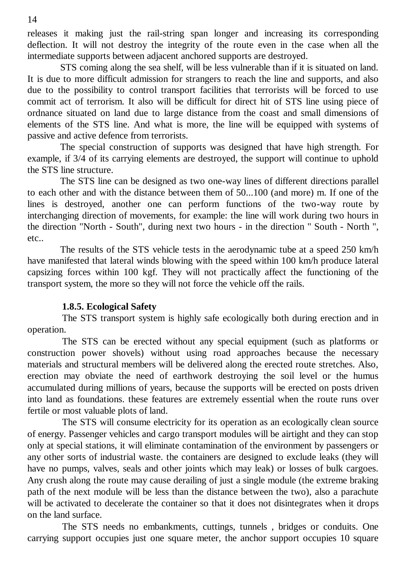releases it making just the rail-string span longer and increasing its corresponding deflection. It will not destroy the integrity of the route even in the case when all the intermediate supports between adjacent anchored supports are destroyed.

STS coming along the sea shelf, will be less vulnerable than if it is situated on land. It is due to more difficult admission for strangers to reach the line and supports, and also due to the possibility to control transport facilities that terrorists will be forced to use commit act of terrorism. It also will be difficult for direct hit of STS line using piece of ordnance situated on land due to large distance from the coast and small dimensions of elements of the STS line. And what is more, the line will be equipped with systems of passive and active defence from terrorists.

The special construction of supports was designed that have high strength. For example, if 3/4 of its carrying elements are destroyed, the support will continue to uphold the STS line structure.

The STS line can be designed as two one-way lines of different directions parallel to each other and with the distance between them of 50...100 (and more) m. If one of the lines is destroyed, another one can perform functions of the two-way route by interchanging direction of movements, for example: the line will work during two hours in the direction "North - South", during next two hours - in the direction " South - North ", etc..

The results of the STS vehicle tests in the aerodynamic tube at a speed 250 km/h have manifested that lateral winds blowing with the speed within 100 km/h produce lateral capsizing forces within 100 kgf. They will not practically affect the functioning of the transport system, the more so they will not force the vehicle off the rails.

### **1.8.5. Ecological Safety**

The STS transport system is highly safe ecologically both during erection and in operation.

The STS can be erected without any special equipment (such as platforms or construction power shovels) without using road approaches because the necessary materials and structural members will be delivered along the erected route stretches. Also, erection may obviate the need of earthwork destroying the soil level or the humus accumulated during millions of years, because the supports will be erected on posts driven into land as foundations. these features are extremely essential when the route runs over fertile or most valuable plots of land.

The STS will consume electricity for its operation as an ecologically clean source of energy. Passenger vehicles and cargo transport modules will be airtight and they can stop only at special stations, it will eliminate contamination of the environment by passengers or any other sorts of industrial waste. the containers are designed to exclude leaks (they will have no pumps, valves, seals and other joints which may leak) or losses of bulk cargoes. Any crush along the route may cause derailing of just a single module (the extreme braking path of the next module will be less than the distance between the two), also a parachute will be activated to decelerate the container so that it does not disintegrates when it drops on the land surface.

The STS needs no embankments, cuttings, tunnels , bridges or conduits. One carrying support occupies just one square meter, the anchor support occupies 10 square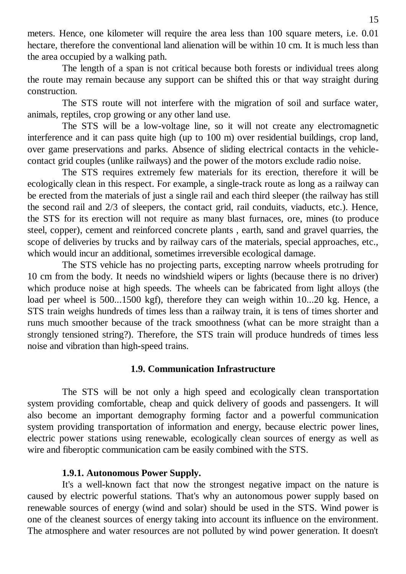meters. Hence, one kilometer will require the area less than 100 square meters, i.e. 0.01 hectare, therefore the conventional land alienation will be within 10 cm. It is much less than the area occupied by a walking path.

The length of a span is not critical because both forests or individual trees along the route may remain because any support can be shifted this or that way straight during construction.

The STS route will not interfere with the migration of soil and surface water, animals, reptiles, crop growing or any other land use.

The STS will be a low-voltage line, so it will not create any electromagnetic interference and it can pass quite high (up to 100 m) over residential buildings, crop land, over game preservations and parks. Absence of sliding electrical contacts in the vehiclecontact grid couples (unlike railways) and the power of the motors exclude radio noise.

The STS requires extremely few materials for its erection, therefore it will be ecologically clean in this respect. For example, a single-track route as long as a railway can be erected from the materials of just a single rail and each third sleeper (the railway has still the second rail and 2/3 of sleepers, the contact grid, rail conduits, viaducts, etc.). Hence, the STS for its erection will not require as many blast furnaces, ore, mines (to produce steel, copper), cement and reinforced concrete plants , earth, sand and gravel quarries, the scope of deliveries by trucks and by railway cars of the materials, special approaches, etc., which would incur an additional, sometimes irreversible ecological damage.

The STS vehicle has no projecting parts, excepting narrow wheels protruding for 10 cm from the body. It needs no windshield wipers or lights (because there is no driver) which produce noise at high speeds. The wheels can be fabricated from light alloys (the load per wheel is 500...1500 kgf), therefore they can weigh within 10...20 kg. Hence, a STS train weighs hundreds of times less than a railway train, it is tens of times shorter and runs much smoother because of the track smoothness (what can be more straight than a strongly tensioned string?). Therefore, the STS train will produce hundreds of times less noise and vibration than high-speed trains.

### **1.9. Communication Infrastructure**

The STS will be not only a high speed and ecologically clean transportation system providing comfortable, cheap and quick delivery of goods and passengers. It will also become an important demography forming factor and a powerful communication system providing transportation of information and energy, because electric power lines, electric power stations using renewable, ecologically clean sources of energy as well as wire and fiberoptic communication cam be easily combined with the STS.

### **1.9.1. Autonomous Power Supply.**

It's a well-known fact that now the strongest negative impact on the nature is caused by electric powerful stations. That's why an autonomous power supply based on renewable sources of energy (wind and solar) should be used in the STS. Wind power is one of the cleanest sources of energy taking into account its influence on the environment. The atmosphere and water resources are not polluted by wind power generation. It doesn't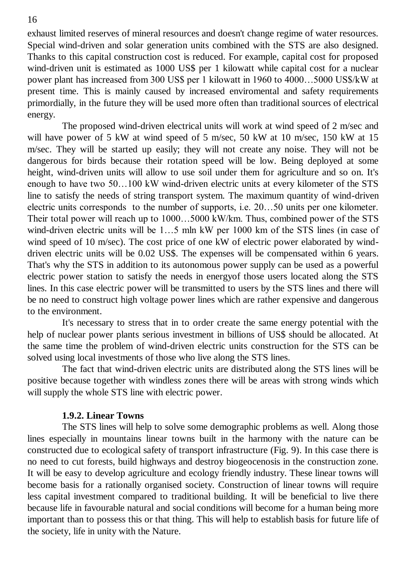exhaust limited reserves of mineral resources and doesn't change regime of water resources. Special wind-driven and solar generation units combined with the STS are also designed. Thanks to this capital construction cost is reduced. For example, capital cost for proposed wind-driven unit is estimated as 1000 US\$ per 1 kilowatt while capital cost for a nuclear power plant has increased from 300 US\$ per 1 kilowatt in 1960 to 4000…5000 US\$/kW at present time. This is mainly caused by increased enviromental and safety requirements primordially, in the future they will be used more often than traditional sources of electrical energy.

The proposed wind-driven electrical units will work at wind speed of 2 m/sec and will have power of 5 kW at wind speed of 5 m/sec, 50 kW at 10 m/sec, 150 kW at 15 m/sec. They will be started up easily; they will not create any noise. They will not be dangerous for birds because their rotation speed will be low. Being deployed at some height, wind-driven units will allow to use soil under them for agriculture and so on. It's enough to have two 50…100 kW wind-driven electric units at every kilometer of the STS line to satisfy the needs of string transport system. The maximum quantity of wind-driven electric units corresponds to the number of supports, i.e. 20…50 units per one kilometer. Their total power will reach up to 1000…5000 kW/km. Thus, combined power of the STS wind-driven electric units will be 1...5 mln kW per 1000 km of the STS lines (in case of wind speed of 10 m/sec). The cost price of one kW of electric power elaborated by winddriven electric units will be 0.02 US\$. The expenses will be compensated within 6 years. That's why the STS in addition to its autonomous power supply can be used as a powerful electric power station to satisfy the needs in energyof those users located along the STS lines. In this case electric power will be transmitted to users by the STS lines and there will be no need to construct high voltage power lines which are rather expensive and dangerous to the environment.

It's necessary to stress that in to order create the same energy potential with the help of nuclear power plants serious investment in billions of US\$ should be allocated. At the same time the problem of wind-driven electric units construction for the STS can be solved using local investments of those who live along the STS lines.

The fact that wind-driven electric units are distributed along the STS lines will be positive because together with windless zones there will be areas with strong winds which will supply the whole STS line with electric power.

### **1.9.2. Linear Towns**

The STS lines will help to solve some demographic problems as well. Along those lines especially in mountains linear towns built in the harmony with the nature can be constructed due to ecological safety of transport infrastructure (Fig. 9). In this case there is no need to cut forests, build highways and destroy biogeocenosis in the construction zone. It will be easy to develop agriculture and ecology friendly industry. These linear towns will become basis for a rationally organised society. Construction of linear towns will require less capital investment compared to traditional building. It will be beneficial to live there because life in favourable natural and social conditions will become for a human being more important than to possess this or that thing. This will help to establish basis for future life of the society, life in unity with the Nature.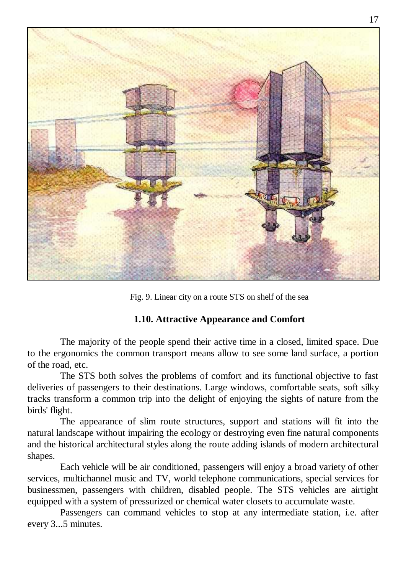

Fig. 9. Linear city on a route STS on shelf of the sea

### **1.10. Attractive Appearance and Comfort**

The majority of the people spend their active time in a closed, limited space. Due to the ergonomics the common transport means allow to see some land surface, a portion of the road, etc.

The STS both solves the problems of comfort and its functional objective to fast deliveries of passengers to their destinations. Large windows, comfortable seats, soft silky tracks transform a common trip into the delight of enjoying the sights of nature from the birds' flight.

The appearance of slim route structures, support and stations will fit into the natural landscape without impairing the ecology or destroying even fine natural components and the historical architectural styles along the route adding islands of modern architectural shapes.

Each vehicle will be air conditioned, passengers will enjoy a broad variety of other services, multichannel music and TV, world telephone communications, special services for businessmen, passengers with children, disabled people. The STS vehicles are airtight equipped with a system of pressurized or chemical water closets to accumulate waste.

Passengers can command vehicles to stop at any intermediate station, i.e. after every 3...5 minutes.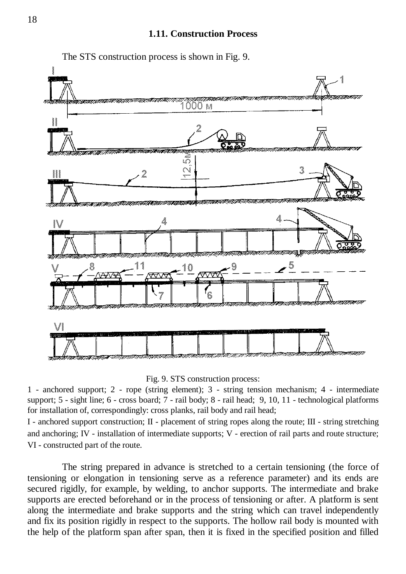

The STS construction process is shown in Fig. 9.

Fig. 9. STS construction process:

1 - anchored support; 2 - rope (string element); 3 - string tension mechanism; 4 - intermediate support; 5 - sight line; 6 - cross board; 7 - rail body; 8 - rail head; 9, 10, 11 - technological platforms for installation of, correspondingly: cross planks, rail body and rail head;

I - anchored support construction; II - placement of string ropes along the route; III - string stretching and anchoring; IV - installation of intermediate supports; V - erection of rail parts and route structure; VI - constructed part of the route.

The string prepared in advance is stretched to a certain tensioning (the force of tensioning or elongation in tensioning serve as a reference parameter) and its ends are secured rigidly, for example, by welding, to anchor supports. The intermediate and brake supports are erected beforehand or in the process of tensioning or after. A platform is sent along the intermediate and brake supports and the string which can travel independently and fix its position rigidly in respect to the supports. The hollow rail body is mounted with the help of the platform span after span, then it is fixed in the specified position and filled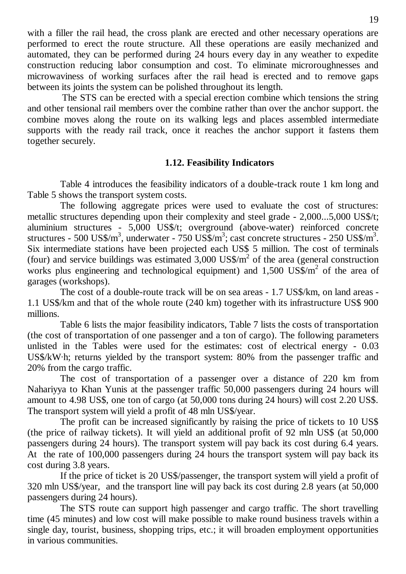with a filler the rail head, the cross plank are erected and other necessary operations are performed to erect the route structure. All these operations are easily mechanized and automated, they can be performed during 24 hours every day in any weather to expedite construction reducing labor consumption and cost. To eliminate microroughnesses and microwaviness of working surfaces after the rail head is erected and to remove gaps between its joints the system can be polished throughout its length.

The STS can be erected with a special erection combine which tensions the string and other tensional rail members over the combine rather than over the anchor support. the combine moves along the route on its walking legs and places assembled intermediate supports with the ready rail track, once it reaches the anchor support it fastens them together securely.

### **1.12. Feasibility Indicators**

Table 4 introduces the feasibility indicators of a double-track route 1 km long and Table 5 shows the transport system costs.

The following aggregate prices were used to evaluate the cost of structures: metallic structures depending upon their complexity and steel grade - 2,000...5,000 US\$/t; aluminium structures - 5,000 US\$/t; overground (above-water) reinforced concrete structures - 500 US\$/m<sup>3</sup>, underwater - 750 US\$/m<sup>3</sup>; cast concrete structures - 250 US\$/m<sup>3</sup>. Six intermediate stations have been projected each US\$ 5 million. The cost of terminals (four) and service buildings was estimated  $3,000$  US\$/ $m<sup>2</sup>$  of the area (general construction works plus engineering and technological equipment) and  $1,500$  US\$/ $m^2$  of the area of garages (workshops).

The cost of a double-route track will be on sea areas - 1.7 US\$/km, on land areas - 1.1 US\$/km and that of the whole route (240 km) together with its infrastructure US\$ 900 millions.

Table 6 lists the major feasibility indicators, Table 7 lists the costs of transportation (the cost of transportation of one passenger and a ton of cargo). The following parameters unlisted in the Tables were used for the estimates: cost of electrical energy - 0.03 US\$/kW·h; returns yielded by the transport system: 80% from the passenger traffic and 20% from the cargo traffic.

The cost of transportation of a passenger over a distance of 220 km from Nahariyya to Khan Yunis at the passenger traffic 50,000 passengers during 24 hours will amount to 4.98 US\$, one ton of cargo (at 50,000 tons during 24 hours) will cost 2.20 US\$. The transport system will yield a profit of 48 mln US\$/year.

The profit can be increased significantly by raising the price of tickets to 10 US\$ (the price of railway tickets). It will yield an additional profit of 92 mln US\$ (at 50,000 passengers during 24 hours). The transport system will pay back its cost during 6.4 years. At the rate of 100,000 passengers during 24 hours the transport system will pay back its cost during 3.8 years.

If the price of ticket is 20 US\$/passenger, the transport system will yield a profit of 320 mln US\$/year, and the transport line will pay back its cost during 2.8 years (at 50,000 passengers during 24 hours).

The STS route can support high passenger and cargo traffic. The short travelling time (45 minutes) and low cost will make possible to make round business travels within a single day, tourist, business, shopping trips, etc.; it will broaden employment opportunities in various communities.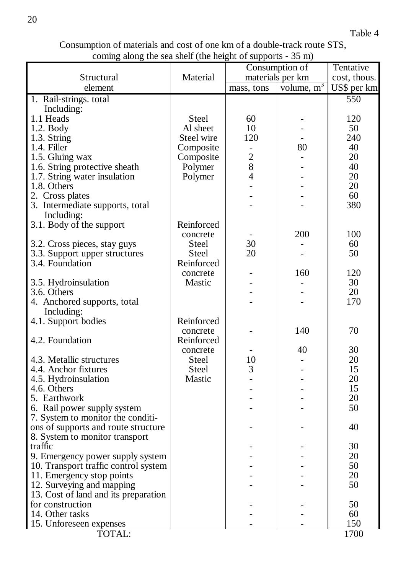Consumption of materials and cost of one km of a double-track route STS, coming along the sea shelf (the height of supports - 35 m)

|                                      |            | Consumption of   | Tentative    |              |
|--------------------------------------|------------|------------------|--------------|--------------|
| Structural                           | Material   | materials per km |              | cost, thous. |
| element                              |            | mass, tons       | volume, $m3$ | US\$ per km  |
| 1. Rail-strings. total               |            |                  |              | 550          |
| Including:                           |            |                  |              |              |
|                                      |            |                  |              |              |
| 1.1 Heads                            | Steel      | 60               |              | 120          |
| $1.2.$ Body                          | Al sheet   | 10               |              | 50           |
| 1.3. String                          | Steel wire | 120              |              | 240          |
| 1.4. Filler                          | Composite  |                  | 80           | 40           |
| 1.5. Gluing wax                      | Composite  | $\overline{c}$   |              | 20           |
| 1.6. String protective sheath        | Polymer    | 8                |              | 40           |
| 1.7. String water insulation         | Polymer    | 4                |              | 20           |
| 1.8. Others                          |            |                  |              | 20           |
| 2. Cross plates                      |            |                  |              | 60           |
|                                      |            |                  |              |              |
| 3. Intermediate supports, total      |            |                  |              | 380          |
| Including:                           |            |                  |              |              |
| 3.1. Body of the support             | Reinforced |                  |              |              |
|                                      | concrete   |                  | 200          | 100          |
| 3.2. Cross pieces, stay guys         | Steel      | 30               |              | 60           |
| 3.3. Support upper structures        | Steel      | 20               |              | 50           |
| 3.4. Foundation                      | Reinforced |                  |              |              |
|                                      | concrete   |                  | 160          | 120          |
| 3.5. Hydroinsulation                 | Mastic     |                  |              | 30           |
| 3.6. Others                          |            |                  |              | 20           |
|                                      |            |                  |              |              |
| 4. Anchored supports, total          |            |                  |              | 170          |
| Including:                           |            |                  |              |              |
| 4.1. Support bodies                  | Reinforced |                  |              |              |
|                                      | concrete   |                  | 140          | 70           |
| 4.2. Foundation                      | Reinforced |                  |              |              |
|                                      | concrete   |                  | 40           | 30           |
| 4.3. Metallic structures             | Steel      | 10               |              | 20           |
| 4.4. Anchor fixtures                 | Steel      | 3                |              | 15           |
| 4.5. Hydroinsulation                 | Mastic     |                  |              | 20           |
| 4.6. Others                          |            |                  |              | 15           |
| 5. Earthwork                         |            |                  |              | 20           |
|                                      |            |                  |              | 50           |
| 6. Rail power supply system          |            |                  |              |              |
| 7. System to monitor the conditi-    |            |                  |              |              |
| ons of supports and route structure  |            |                  |              | 40           |
| 8. System to monitor transport       |            |                  |              |              |
| traffic                              |            |                  |              | 30           |
| 9. Emergency power supply system     |            |                  |              | 20           |
| 10. Transport traffic control system |            |                  |              | 50           |
| 11. Emergency stop points            |            |                  |              | 20           |
| 12. Surveying and mapping            |            |                  |              | 50           |
| 13. Cost of land and its preparation |            |                  |              |              |
|                                      |            |                  |              |              |
| for construction                     |            |                  |              | 50           |
| 14. Other tasks                      |            |                  |              | 60           |
| 15. Unforeseen expenses              |            |                  |              | 150          |
| TOTAL:                               |            |                  |              | 1700         |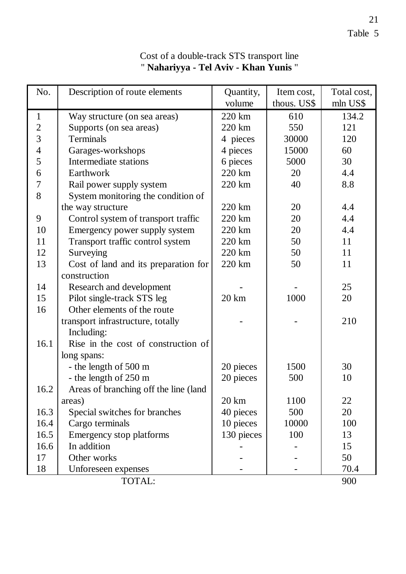| No.                     | Description of route elements         | Quantity,         | Item cost,  | Total cost, |
|-------------------------|---------------------------------------|-------------------|-------------|-------------|
|                         |                                       | volume            | thous. US\$ | mln US\$    |
| $\mathbf{1}$            | Way structure (on sea areas)          | 220 km            | 610         | 134.2       |
| $\boldsymbol{2}$        | Supports (on sea areas)               | 220 km            | 550         | 121         |
| $\overline{3}$          | Terminals                             | 4 pieces          | 30000       | 120         |
| $\overline{\mathbf{4}}$ | Garages-workshops                     | 4 pieces          | 15000       | 60          |
| 5                       | Intermediate stations                 | 6 pieces          | 5000        | 30          |
| 6                       | Earthwork                             | 220 km            | 20          | 4.4         |
| 7                       | Rail power supply system              | 220 km            | 40          | 8.8         |
| 8                       | System monitoring the condition of    |                   |             |             |
|                         | the way structure                     | 220 km            | 20          | 4.4         |
| 9                       | Control system of transport traffic   | $220 \mathrm{km}$ | 20          | 4.4         |
| 10                      | Emergency power supply system         | 220 km            | 20          | 4.4         |
| 11                      | Transport traffic control system      | 220 km            | 50          | 11          |
| 12                      | Surveying                             | 220 km            | 50          | 11          |
| 13                      | Cost of land and its preparation for  | 220 km            | 50          | 11          |
|                         | construction                          |                   |             |             |
| 14                      | Research and development              |                   |             | 25          |
| 15                      | Pilot single-track STS leg            | 20 km             | 1000        | 20          |
| 16                      | Other elements of the route           |                   |             |             |
|                         | transport infrastructure, totally     |                   |             | 210         |
|                         | Including:                            |                   |             |             |
| 16.1                    | Rise in the cost of construction of   |                   |             |             |
|                         | long spans:                           |                   |             |             |
|                         | - the length of 500 m                 | 20 pieces         | 1500        | 30          |
|                         | - the length of 250 m                 | 20 pieces         | 500         | 10          |
| 16.2                    | Areas of branching off the line (land |                   |             |             |
|                         | areas)                                | 20 km             | 1100        | 22          |
| 16.3                    | Special switches for branches         | 40 pieces         | 500         | 20          |
| 16.4                    | Cargo terminals                       | 10 pieces         | 10000       | 100         |
| 16.5                    | Emergency stop platforms              | 130 pieces        | 100         | 13          |
| 16.6                    | In addition                           |                   |             | 15          |
| 17                      | Other works                           |                   |             | 50          |
| 18                      | Unforeseen expenses                   |                   |             | 70.4        |
|                         | TOTAL:                                |                   |             | 900         |

## Cost of a double-track STS transport line " **Nahariyya - Tel Aviv - Khan Yunis** "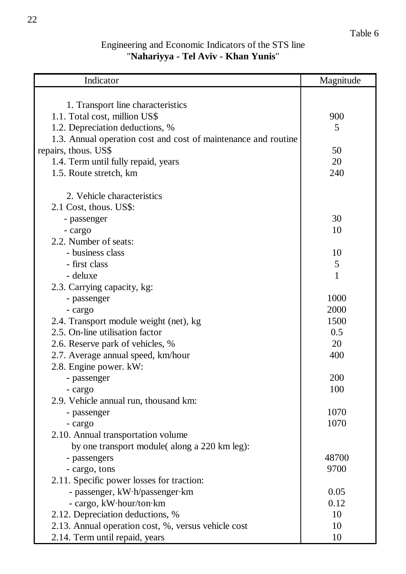## Engineering and Economic Indicators of the STS line "**Nahariyya - Tel Aviv - Khan Yunis**"

| Indicator                                                      | Magnitude |
|----------------------------------------------------------------|-----------|
|                                                                |           |
| 1. Transport line characteristics                              |           |
| 1.1. Total cost, million US\$                                  | 900       |
| 1.2. Depreciation deductions, %                                | 5         |
| 1.3. Annual operation cost and cost of maintenance and routine |           |
| repairs, thous. US\$                                           | 50        |
| 1.4. Term until fully repaid, years                            | 20        |
| 1.5. Route stretch, km                                         | 240       |
|                                                                |           |
| 2. Vehicle characteristics                                     |           |
| 2.1 Cost, thous. US\$:                                         |           |
| - passenger                                                    | 30        |
| - cargo                                                        | 10        |
| 2.2. Number of seats:                                          |           |
| - business class                                               | 10        |
| - first class                                                  | 5         |
| - deluxe                                                       | 1         |
| 2.3. Carrying capacity, kg:                                    |           |
| - passenger                                                    | 1000      |
| - cargo                                                        | 2000      |
| 2.4. Transport module weight (net), kg                         | 1500      |
| 2.5. On-line utilisation factor                                | 0.5       |
| 2.6. Reserve park of vehicles, %                               | 20        |
| 2.7. Average annual speed, km/hour                             | 400       |
| 2.8. Engine power. kW:                                         |           |
| - passenger                                                    | 200       |
| - cargo                                                        | 100       |
| 2.9. Vehicle annual run, thousand km:                          |           |
| - passenger                                                    | 1070      |
| - cargo                                                        | 1070      |
| 2.10. Annual transportation volume                             |           |
| by one transport module(along a 220 km leg):                   |           |
| - passengers                                                   | 48700     |
| - cargo, tons                                                  | 9700      |
| 2.11. Specific power losses for traction:                      |           |
| - passenger, kW·h/passenger·km                                 | 0.05      |
| - cargo, kW·hour/ton·km                                        | 0.12      |
| 2.12. Depreciation deductions, %                               | 10        |
| 2.13. Annual operation cost, %, versus vehicle cost            | 10        |
| 2.14. Term until repaid, years                                 | 10        |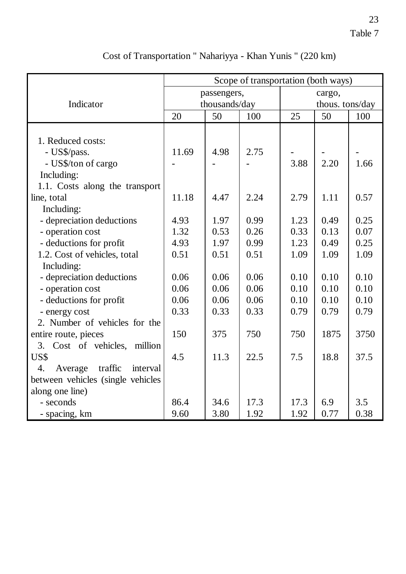|                                      | Scope of transportation (both ways) |      |                 |        |      |      |
|--------------------------------------|-------------------------------------|------|-----------------|--------|------|------|
|                                      | passengers,                         |      |                 | cargo, |      |      |
| Indicator                            | thousands/day                       |      | thous. tons/day |        |      |      |
|                                      | 20                                  | 50   | 100             | 25     | 50   | 100  |
|                                      |                                     |      |                 |        |      |      |
| 1. Reduced costs:                    |                                     |      |                 |        |      |      |
| - US\$/pass.                         | 11.69                               | 4.98 | 2.75            |        |      |      |
| - US\$/ton of cargo                  |                                     |      |                 | 3.88   | 2.20 | 1.66 |
| Including:                           |                                     |      |                 |        |      |      |
| 1.1. Costs along the transport       |                                     |      |                 |        |      |      |
| line, total                          | 11.18                               | 4.47 | 2.24            | 2.79   | 1.11 | 0.57 |
| Including:                           |                                     |      |                 |        |      |      |
| - depreciation deductions            | 4.93                                | 1.97 | 0.99            | 1.23   | 0.49 | 0.25 |
| - operation cost                     | 1.32                                | 0.53 | 0.26            | 0.33   | 0.13 | 0.07 |
| - deductions for profit              | 4.93                                | 1.97 | 0.99            | 1.23   | 0.49 | 0.25 |
| 1.2. Cost of vehicles, total         | 0.51                                | 0.51 | 0.51            | 1.09   | 1.09 | 1.09 |
| Including:                           |                                     |      |                 |        |      |      |
| - depreciation deductions            | 0.06                                | 0.06 | 0.06            | 0.10   | 0.10 | 0.10 |
| - operation cost                     | 0.06                                | 0.06 | 0.06            | 0.10   | 0.10 | 0.10 |
| - deductions for profit              | 0.06                                | 0.06 | 0.06            | 0.10   | 0.10 | 0.10 |
| - energy cost                        | 0.33                                | 0.33 | 0.33            | 0.79   | 0.79 | 0.79 |
| 2. Number of vehicles for the        |                                     |      |                 |        |      |      |
| entire route, pieces                 | 150                                 | 375  | 750             | 750    | 1875 | 3750 |
| Cost of vehicles, million<br>3.      |                                     |      |                 |        |      |      |
| US\$                                 | 4.5                                 | 11.3 | 22.5            | 7.5    | 18.8 | 37.5 |
| 4.<br>traffic<br>Average<br>interval |                                     |      |                 |        |      |      |
| between vehicles (single vehicles    |                                     |      |                 |        |      |      |
| along one line)                      |                                     |      |                 |        |      |      |
| - seconds                            | 86.4                                | 34.6 | 17.3            | 17.3   | 6.9  | 3.5  |
| - spacing, km                        | 9.60                                | 3.80 | 1.92            | 1.92   | 0.77 | 0.38 |

Cost of Transportation " Nahariyya - Khan Yunis " (220 km)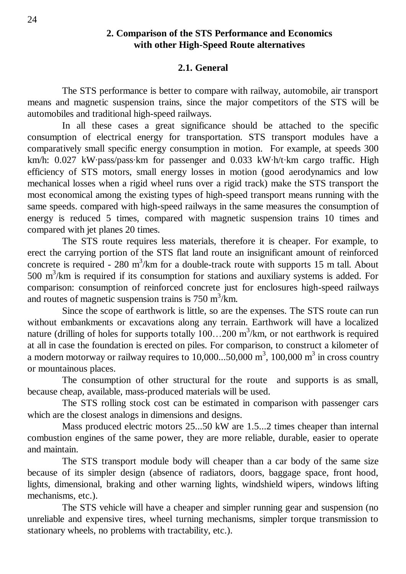### **2. Comparison of the STS Performance and Economics with other High-Speed Route alternatives**

### **2.1. General**

The STS performance is better to compare with railway, automobile, air transport means and magnetic suspension trains, since the major competitors of the STS will be automobiles and traditional high-speed railways.

In all these cases a great significance should be attached to the specific consumption of electrical energy for transportation. STS transport modules have a comparatively small specific energy consumption in motion. For example, at speeds 300 km/h: 0.027 kW·pass/pass·km for passenger and 0.033 kW·h/t·km cargo traffic. High efficiency of STS motors, small energy losses in motion (good aerodynamics and low mechanical losses when a rigid wheel runs over a rigid track) make the STS transport the most economical among the existing types of high-speed transport means running with the same speeds. compared with high-speed railways in the same measures the consumption of energy is reduced 5 times, compared with magnetic suspension trains 10 times and compared with jet planes 20 times.

The STS route requires less materials, therefore it is cheaper. For example, to erect the carrying portion of the STS flat land route an insignificant amount of reinforced concrete is required - 280 m<sup>3</sup>/km for a double-track route with supports 15 m tall. About 500  $\text{m}^3/\text{km}$  is required if its consumption for stations and auxiliary systems is added. For comparison: consumption of reinforced concrete just for enclosures high-speed railways and routes of magnetic suspension trains is  $750 \text{ m}^3/\text{km}$ .

Since the scope of earthwork is little, so are the expenses. The STS route can run without embankments or excavations along any terrain. Earthwork will have a localized nature (drilling of holes for supports totally  $100...200$  m<sup>3</sup>/km, or not earthwork is required at all in case the foundation is erected on piles. For comparison, to construct a kilometer of a modern motorway or railway requires to  $10,000...50,000 \text{ m}^3$ ,  $100,000 \text{ m}^3$  in cross country or mountainous places.

The consumption of other structural for the route and supports is as small, because cheap, available, mass-produced materials will be used.

The STS rolling stock cost can be estimated in comparison with passenger cars which are the closest analogs in dimensions and designs.

Mass produced electric motors 25...50 kW are 1.5...2 times cheaper than internal combustion engines of the same power, they are more reliable, durable, easier to operate and maintain.

The STS transport module body will cheaper than a car body of the same size because of its simpler design (absence of radiators, doors, baggage space, front hood, lights, dimensional, braking and other warning lights, windshield wipers, windows lifting mechanisms, etc.).

The STS vehicle will have a cheaper and simpler running gear and suspension (no unreliable and expensive tires, wheel turning mechanisms, simpler torque transmission to stationary wheels, no problems with tractability, etc.).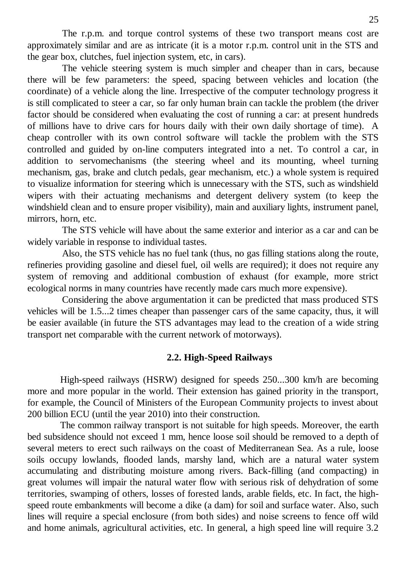The r.p.m. and torque control systems of these two transport means cost are approximately similar and are as intricate (it is a motor r.p.m. control unit in the STS and the gear box, clutches, fuel injection system, etc, in cars).

The vehicle steering system is much simpler and cheaper than in cars, because there will be few parameters: the speed, spacing between vehicles and location (the coordinate) of a vehicle along the line. Irrespective of the computer technology progress it is still complicated to steer a car, so far only human brain can tackle the problem (the driver factor should be considered when evaluating the cost of running a car: at present hundreds of millions have to drive cars for hours daily with their own daily shortage of time). A cheap controller with its own control software will tackle the problem with the STS controlled and guided by on-line computers integrated into a net. To control a car, in addition to servomechanisms (the steering wheel and its mounting, wheel turning mechanism, gas, brake and clutch pedals, gear mechanism, etc.) a whole system is required to visualize information for steering which is unnecessary with the STS, such as windshield wipers with their actuating mechanisms and detergent delivery system (to keep the windshield clean and to ensure proper visibility), main and auxiliary lights, instrument panel, mirrors, horn, etc.

The STS vehicle will have about the same exterior and interior as a car and can be widely variable in response to individual tastes.

Also, the STS vehicle has no fuel tank (thus, no gas filling stations along the route, refineries providing gasoline and diesel fuel, oil wells are required); it does not require any system of removing and additional combustion of exhaust (for example, more strict ecological norms in many countries have recently made cars much more expensive).

Considering the above argumentation it can be predicted that mass produced STS vehicles will be 1.5...2 times cheaper than passenger cars of the same capacity, thus, it will be easier available (in future the STS advantages may lead to the creation of a wide string transport net comparable with the current network of motorways).

### **2.2. High-Speed Railways**

High-speed railways (HSRW) designed for speeds 250...300 km/h are becoming more and more popular in the world. Their extension has gained priority in the transport, for example, the Council of Ministers of the European Community projects to invest about 200 billion ECU (until the year 2010) into their construction.

The common railway transport is not suitable for high speeds. Moreover, the earth bed subsidence should not exceed 1 mm, hence loose soil should be removed to a depth of several meters to erect such railways on the coast of Mediterranean Sea. As a rule, loose soils occupy lowlands, flooded lands, marshy land, which are a natural water system accumulating and distributing moisture among rivers. Back-filling (and compacting) in great volumes will impair the natural water flow with serious risk of dehydration of some territories, swamping of others, losses of forested lands, arable fields, etc. In fact, the highspeed route embankments will become a dike (a dam) for soil and surface water. Also, such lines will require a special enclosure (from both sides) and noise screens to fence off wild and home animals, agricultural activities, etc. In general, a high speed line will require 3.2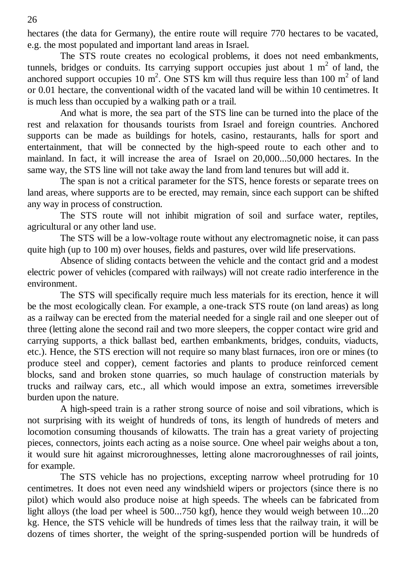hectares (the data for Germany), the entire route will require 770 hectares to be vacated, e.g. the most populated and important land areas in Israel.

The STS route creates no ecological problems, it does not need embankments, tunnels, bridges or conduits. Its carrying support occupies just about  $1 \text{ m}^2$  of land, the anchored support occupies 10 m<sup>2</sup>. One STS km will thus require less than 100 m<sup>2</sup> of land or 0.01 hectare, the conventional width of the vacated land will be within 10 centimetres. It is much less than occupied by a walking path or a trail.

And what is more, the sea part of the STS line can be turned into the place of the rest and relaxation for thousands tourists from Israel and foreign countries. Anchored supports can be made as buildings for hotels, casino, restaurants, halls for sport and entertainment, that will be connected by the high-speed route to each other and to mainland. In fact, it will increase the area of Israel on 20,000...50,000 hectares. In the same way, the STS line will not take away the land from land tenures but will add it.

The span is not a critical parameter for the STS, hence forests or separate trees on land areas, where supports are to be erected, may remain, since each support can be shifted any way in process of construction.

The STS route will not inhibit migration of soil and surface water, reptiles, agricultural or any other land use.

The STS will be a low-voltage route without any electromagnetic noise, it can pass quite high (up to 100 m) over houses, fields and pastures, over wild life preservations.

Absence of sliding contacts between the vehicle and the contact grid and a modest electric power of vehicles (compared with railways) will not create radio interference in the environment.

The STS will specifically require much less materials for its erection, hence it will be the most ecologically clean. For example, a one-track STS route (on land areas) as long as a railway can be erected from the material needed for a single rail and one sleeper out of three (letting alone the second rail and two more sleepers, the copper contact wire grid and carrying supports, a thick ballast bed, earthen embankments, bridges, conduits, viaducts, etc.). Hence, the STS erection will not require so many blast furnaces, iron ore or mines (to produce steel and copper), cement factories and plants to produce reinforced cement blocks, sand and broken stone quarries, so much haulage of construction materials by trucks and railway cars, etc., all which would impose an extra, sometimes irreversible burden upon the nature.

A high-speed train is a rather strong source of noise and soil vibrations, which is not surprising with its weight of hundreds of tons, its length of hundreds of meters and locomotion consuming thousands of kilowatts. The train has a great variety of projecting pieces, connectors, joints each acting as a noise source. One wheel pair weighs about a ton, it would sure hit against microroughnesses, letting alone macroroughnesses of rail joints, for example.

The STS vehicle has no projections, excepting narrow wheel protruding for 10 centimetres. It does not even need any windshield wipers or projectors (since there is no pilot) which would also produce noise at high speeds. The wheels can be fabricated from light alloys (the load per wheel is 500...750 kgf), hence they would weigh between 10...20 kg. Hence, the STS vehicle will be hundreds of times less that the railway train, it will be dozens of times shorter, the weight of the spring-suspended portion will be hundreds of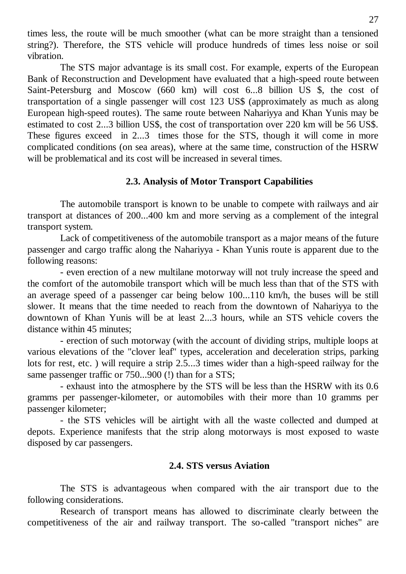times less, the route will be much smoother (what can be more straight than a tensioned string?). Therefore, the STS vehicle will produce hundreds of times less noise or soil vibration.

The STS major advantage is its small cost. For example, experts of the European Bank of Reconstruction and Development have evaluated that a high-speed route between Saint-Petersburg and Moscow (660 km) will cost 6...8 billion US \$, the cost of transportation of a single passenger will cost 123 US\$ (approximately as much as along European high-speed routes). The same route between Nahariyya and Khan Yunis may be estimated to cost 2...3 billion US\$, the cost of transportation over 220 km will be 56 US\$. These figures exceed in 2...3 times those for the STS, though it will come in more complicated conditions (on sea areas), where at the same time, construction of the HSRW will be problematical and its cost will be increased in several times.

### **2.3. Analysis of Motor Transport Capabilities**

The automobile transport is known to be unable to compete with railways and air transport at distances of 200...400 km and more serving as a complement of the integral transport system.

Lack of competitiveness of the automobile transport as a major means of the future passenger and cargo traffic along the Nahariyya - Khan Yunis route is apparent due to the following reasons:

- even erection of a new multilane motorway will not truly increase the speed and the comfort of the automobile transport which will be much less than that of the STS with an average speed of a passenger car being below 100...110 km/h, the buses will be still slower. It means that the time needed to reach from the downtown of Nahariyya to the downtown of Khan Yunis will be at least 2...3 hours, while an STS vehicle covers the distance within 45 minutes;

- erection of such motorway (with the account of dividing strips, multiple loops at various elevations of the "clover leaf" types, acceleration and deceleration strips, parking lots for rest, etc. ) will require a strip 2.5...3 times wider than a high-speed railway for the same passenger traffic or 750...900 (!) than for a STS;

- exhaust into the atmosphere by the STS will be less than the HSRW with its 0.6 gramms per passenger-kilometer, or automobiles with their more than 10 gramms per passenger kilometer;

- the STS vehicles will be airtight with all the waste collected and dumped at depots. Experience manifests that the strip along motorways is most exposed to waste disposed by car passengers.

### **2.4. STS versus Aviation**

The STS is advantageous when compared with the air transport due to the following considerations.

Research of transport means has allowed to discriminate clearly between the competitiveness of the air and railway transport. The so-called "transport niches" are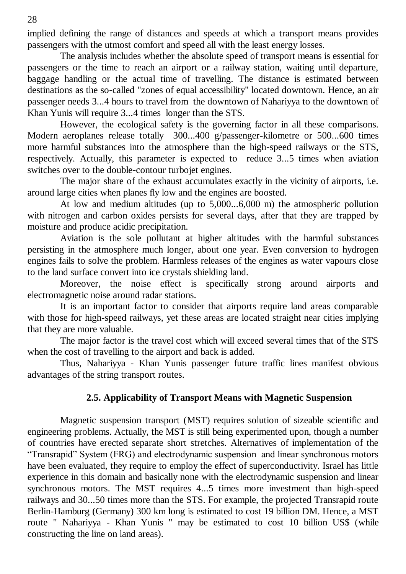implied defining the range of distances and speeds at which a transport means provides passengers with the utmost comfort and speed all with the least energy losses.

The analysis includes whether the absolute speed of transport means is essential for passengers or the time to reach an airport or a railway station, waiting until departure, baggage handling or the actual time of travelling. The distance is estimated between destinations as the so-called "zones of equal accessibility" located downtown. Hence, an air passenger needs 3...4 hours to travel from the downtown of Nahariyya to the downtown of Khan Yunis will require 3...4 times longer than the STS.

However, the ecological safety is the governing factor in all these comparisons. Modern aeroplanes release totally 300...400 g/passenger-kilometre or 500...600 times more harmful substances into the atmosphere than the high-speed railways or the STS, respectively. Actually, this parameter is expected to reduce 3...5 times when aviation switches over to the double-contour turbojet engines.

The major share of the exhaust accumulates exactly in the vicinity of airports, i.e. around large cities when planes fly low and the engines are boosted.

At low and medium altitudes (up to 5,000...6,000 m) the atmospheric pollution with nitrogen and carbon oxides persists for several days, after that they are trapped by moisture and produce acidic precipitation.

Aviation is the sole pollutant at higher altitudes with the harmful substances persisting in the atmosphere much longer, about one year. Even conversion to hydrogen engines fails to solve the problem. Harmless releases of the engines as water vapours close to the land surface convert into ice crystals shielding land.

Moreover, the noise effect is specifically strong around airports and electromagnetic noise around radar stations.

It is an important factor to consider that airports require land areas comparable with those for high-speed railways, yet these areas are located straight near cities implying that they are more valuable.

The major factor is the travel cost which will exceed several times that of the STS when the cost of travelling to the airport and back is added.

Thus, Nahariyya - Khan Yunis passenger future traffic lines manifest obvious advantages of the string transport routes.

### **2.5. Applicability of Transport Means with Magnetic Suspension**

Magnetic suspension transport (MST) requires solution of sizeable scientific and engineering problems. Actually, the MST is still being experimented upon, though a number of countries have erected separate short stretches. Alternatives of implementation of the "Transrapid" System (FRG) and electrodynamic suspension and linear synchronous motors have been evaluated, they require to employ the effect of superconductivity. Israel has little experience in this domain and basically none with the electrodynamic suspension and linear synchronous motors. The MST requires 4...5 times more investment than high-speed railways and 30...50 times more than the STS. For example, the projected Transrapid route Berlin-Hamburg (Germany) 300 km long is estimated to cost 19 billion DM. Hence, a MST route " Nahariyya - Khan Yunis " may be estimated to cost 10 billion US\$ (while constructing the line on land areas).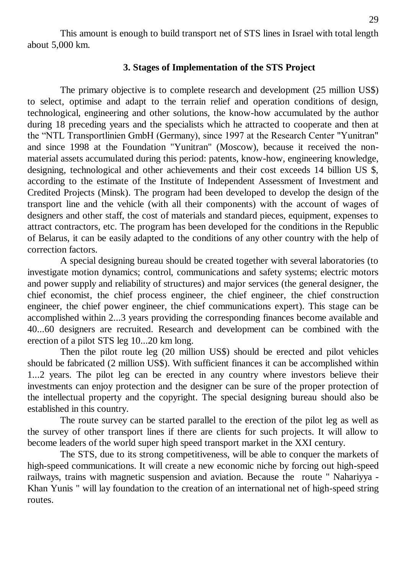This amount is enough to build transport net of STS lines in Israel with total length about 5,000 km.

### **3. Stages of Implementation of the STS Project**

The primary objective is to complete research and development (25 million US\$) to select, optimise and adapt to the terrain relief and operation conditions of design, technological, engineering and other solutions, the know-how accumulated by the author during 18 preceding years and the specialists which he attracted to cooperate and then at the "NTL Transportlinien GmbH (Germany), since 1997 at the Research Center "Yunitran" and since 1998 at the Foundation "Yunitran" (Moscow), because it received the nonmaterial assets accumulated during this period: patents, know-how, engineering knowledge, designing, technological and other achievements and their cost exceeds 14 billion US \$, according to the estimate of the Institute of Independent Assessment of Investment and Credited Projects (Minsk). The program had been developed to develop the design of the transport line and the vehicle (with all their components) with the account of wages of designers and other staff, the cost of materials and standard pieces, equipment, expenses to attract contractors, etc. The program has been developed for the conditions in the Republic of Belarus, it can be easily adapted to the conditions of any other country with the help of correction factors.

A special designing bureau should be created together with several laboratories (to investigate motion dynamics; control, communications and safety systems; electric motors and power supply and reliability of structures) and major services (the general designer, the chief economist, the chief process engineer, the chief engineer, the chief construction engineer, the chief power engineer, the chief communications expert). This stage can be accomplished within 2...3 years providing the corresponding finances become available and 40...60 designers are recruited. Research and development can be combined with the erection of a pilot STS leg 10...20 km long.

Then the pilot route leg (20 million US\$) should be erected and pilot vehicles should be fabricated (2 million US\$). With sufficient finances it can be accomplished within 1...2 years. The pilot leg can be erected in any country where investors believe their investments can enjoy protection and the designer can be sure of the proper protection of the intellectual property and the copyright. The special designing bureau should also be established in this country.

The route survey can be started parallel to the erection of the pilot leg as well as the survey of other transport lines if there are clients for such projects. It will allow to become leaders of the world super high speed transport market in the XXI century.

The STS, due to its strong competitiveness, will be able to conquer the markets of high-speed communications. It will create a new economic niche by forcing out high-speed railways, trains with magnetic suspension and aviation. Because the route " Nahariyya - Khan Yunis " will lay foundation to the creation of an international net of high-speed string routes.